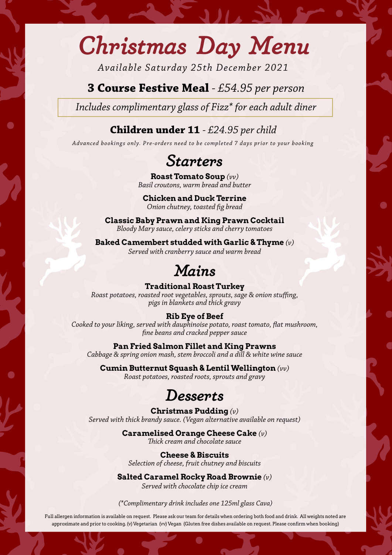## *Christmas Day Menu*

*Available Saturday 25th December 2021*

## **3 Course Festive Meal** *- £54.95 per person*

*Includes complimentary glass of Fizz\* for each adult diner*

### **Children under 11** *- £24.95 per child*

*Advanced bookings only. Pre-orders need to be completed 7 days prior to your booking*

## *Starters*

**Roast Tomato Soup** *(vv) Basil croutons, warm bread and butter*

**Chicken and Duck Terrine** *Onion chutney, toasted fig bread*

**Classic Baby Prawn and King Prawn Cocktail**  *Bloody Mary sauce, celery sticks and cherry tomatoes*

**Baked Camembert studded with Garlic & Thyme** *(v) Served with cranberry sauce and warm bread* 

## *Mains*

#### **Traditional Roast Turkey**

*Roast potatoes, roasted root vegetables, sprouts, sage & onion stuffing, pigs in blankets and thick gravy*

#### **Rib Eye of Beef**

*Cooked to your liking, served with dauphinoise potato, roast tomato, flat mushroom, fine beans and cracked pepper sauce*

**Pan Fried Salmon Fillet and King Prawns** 

*Cabbage & spring onion mash, stem broccoli and a dill & white wine sauce*

**Cumin Butternut Squash & Lentil Wellington** *(vv) Roast potatoes, roasted roots, sprouts and gravy* 

## *Desserts*

**Christmas Pudding** *(v) Served with thick brandy sauce. (Vegan alternative available on request)*

#### **Caramelised Orange Cheese Cake** *(v)*

*Thick cream and chocolate sauce* 

**Cheese & Biscuits**  *Selection of cheese, fruit chutney and biscuits* 

**Salted Caramel Rocky Road Brownie** *(v) Served with chocolate chip ice cream*

#### *(\*Complimentary drink includes one 125ml glass Cava)*

Full allergen information is available on request. Please ask our team for details when ordering both food and drink. All weights noted are approximate and prior to cooking. (v) Vegetarian (vv) Vegan (Gluten free dishes available on request. Please confirm when booking)